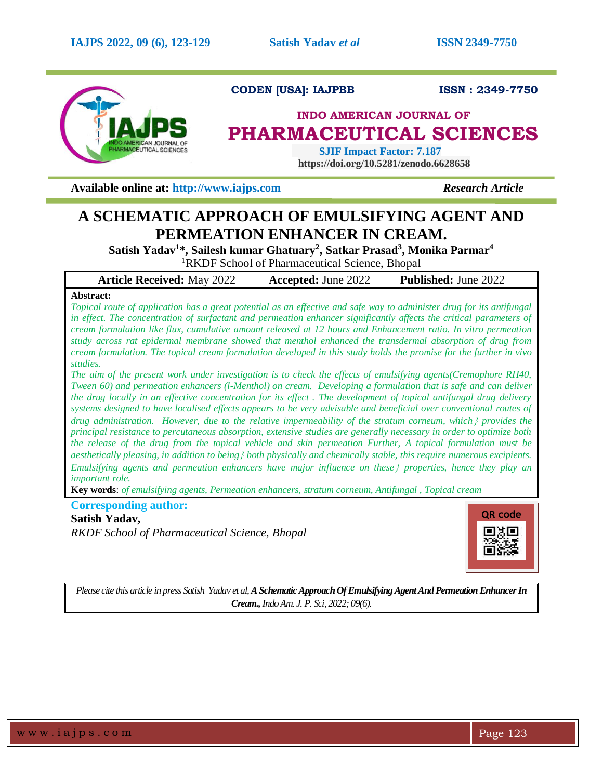

**CODEN [USA]: IAJPBB ISSN : 2349-7750** 

# **INDO AMERICAN JOURNAL OF PHARMACEUTICAL SCIENCES**

 **SJIF Impact Factor: 7.187 https://doi.org/10.5281/zenodo.6628658**

**Available online at: [http://www.iajps.com](http://www.iajps.com/)** *Research Article*

# **A SCHEMATIC APPROACH OF EMULSIFYING AGENT AND PERMEATION ENHANCER IN CREAM.**

**Satish Yadav<sup>1</sup> \*, Sailesh kumar Ghatuary<sup>2</sup> , Satkar Prasad<sup>3</sup> , Monika Parmar<sup>4</sup>**

<sup>1</sup>RKDF School of Pharmaceutical Science, Bhopal

**Article Received:** May 2022 **Accepted:** June 2022 **Published:** June 2022

## **Abstract:**

*Topical route of application has a great potential as an effective and safe way to administer drug for its antifungal in effect. The concentration of surfactant and permeation enhancer significantly affects the critical parameters of cream formulation like flux, cumulative amount released at 12 hours and Enhancement ratio. In vitro permeation study across rat epidermal membrane showed that menthol enhanced the transdermal absorption of drug from cream formulation. The topical cream formulation developed in this study holds the promise for the further in vivo studies.*

*The aim of the present work under investigation is to check the effects of emulsifying agents(Cremophore RH40, Tween 60) and permeation enhancers (l-Menthol) on cream. Developing a formulation that is safe and can deliver the drug locally in an effective concentration for its effect . The development of topical antifungal drug delivery systems designed to have localised effects appears to be very advisable and beneficial over conventional routes of drug administration. However, due to the relative impermeability of the stratum corneum, which provides the principal resistance to percutaneous absorption, extensive studies are generally necessary in order to optimize both the release of the drug from the topical vehicle and skin permeation Further, A topical formulation must be aesthetically pleasing, in addition to being both physically and chemically stable, this require numerous excipients. Emulsifying agents and permeation enhancers have major influence on these properties, hence they play an important role.*

**Key words**: *of emulsifying agents, Permeation enhancers, stratum corneum, Antifungal , Topical cream*

## **Corresponding author:**

# **Satish Yadav,**

*RKDF School of Pharmaceutical Science, Bhopal*



*Please cite this article in press Satish Yadav et al,A Schematic Approach Of Emulsifying Agent And Permeation Enhancer In Cream.,Indo Am. J. P. Sci, 2022; 09(6).*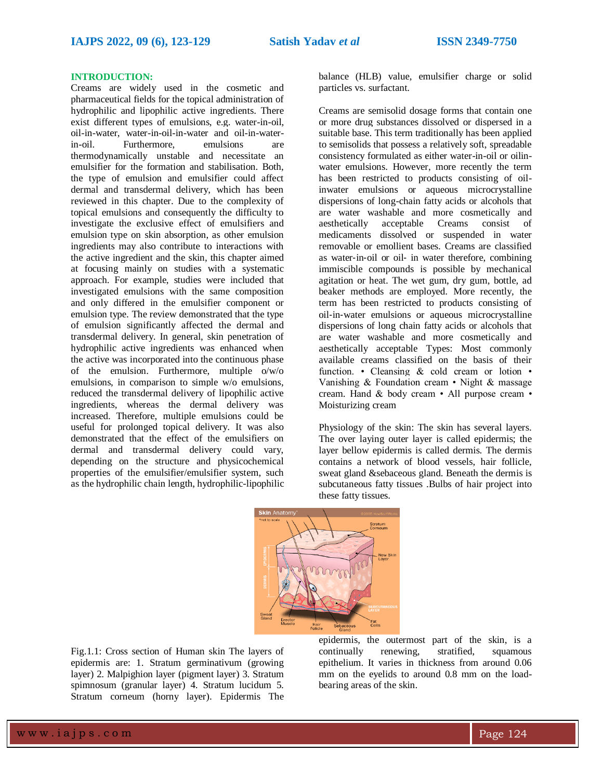## **INTRODUCTION:**

Creams are widely used in the cosmetic and pharmaceutical fields for the topical administration of hydrophilic and lipophilic active ingredients. There exist different types of emulsions, e.g. water-in-oil, oil-in-water, water-in-oil-in-water and oil-in-waterin-oil. Furthermore, emulsions are thermodynamically unstable and necessitate an emulsifier for the formation and stabilisation. Both, the type of emulsion and emulsifier could affect dermal and transdermal delivery, which has been reviewed in this chapter. Due to the complexity of topical emulsions and consequently the difficulty to investigate the exclusive effect of emulsifiers and emulsion type on skin absorption, as other emulsion ingredients may also contribute to interactions with the active ingredient and the skin, this chapter aimed at focusing mainly on studies with a systematic approach. For example, studies were included that investigated emulsions with the same composition and only differed in the emulsifier component or emulsion type. The review demonstrated that the type of emulsion significantly affected the dermal and transdermal delivery. In general, skin penetration of hydrophilic active ingredients was enhanced when the active was incorporated into the continuous phase of the emulsion. Furthermore, multiple o/w/o emulsions, in comparison to simple w/o emulsions, reduced the transdermal delivery of lipophilic active ingredients, whereas the dermal delivery was increased. Therefore, multiple emulsions could be useful for prolonged topical delivery. It was also demonstrated that the effect of the emulsifiers on dermal and transdermal delivery could vary, depending on the structure and physicochemical properties of the emulsifier/emulsifier system, such as the hydrophilic chain length, hydrophilic-lipophilic

balance (HLB) value, emulsifier charge or solid particles vs. surfactant.

Creams are semisolid dosage forms that contain one or more drug substances dissolved or dispersed in a suitable base. This term traditionally has been applied to semisolids that possess a relatively soft, spreadable consistency formulated as either water-in-oil or oilinwater emulsions. However, more recently the term has been restricted to products consisting of oilinwater emulsions or aqueous microcrystalline dispersions of long-chain fatty acids or alcohols that are water washable and more cosmetically and aesthetically acceptable Creams consist of medicaments dissolved or suspended in water removable or emollient bases. Creams are classified as water‐in‐oil or oil‐ in water therefore, combining immiscible compounds is possible by mechanical agitation or heat. The wet gum, dry gum, bottle, ad beaker methods are employed. More recently, the term has been restricted to products consisting of oil‐in‐water emulsions or aqueous microcrystalline dispersions of long chain fatty acids or alcohols that are water washable and more cosmetically and aesthetically acceptable Types: Most commonly available creams classified on the basis of their function. • Cleansing & cold cream or lotion • Vanishing & Foundation cream • Night & massage cream. Hand & body cream • All purpose cream • Moisturizing cream

Physiology of the skin: The skin has several layers. The over laying outer layer is called epidermis; the layer bellow epidermis is called dermis. The dermis contains a network of blood vessels, hair follicle, sweat gland &sebaceous gland. Beneath the dermis is subcutaneous fatty tissues .Bulbs of hair project into these fatty tissues.



Fig.1.1: Cross section of Human skin The layers of epidermis are: 1. Stratum germinativum (growing layer) 2. Malpighion layer (pigment layer) 3. Stratum spimnosum (granular layer) 4. Stratum lucidum 5. Stratum corneum (horny layer). Epidermis The

epidermis, the outermost part of the skin, is a continually renewing, stratified, squamous epithelium. It varies in thickness from around 0.06 mm on the eyelids to around 0.8 mm on the loadbearing areas of the skin.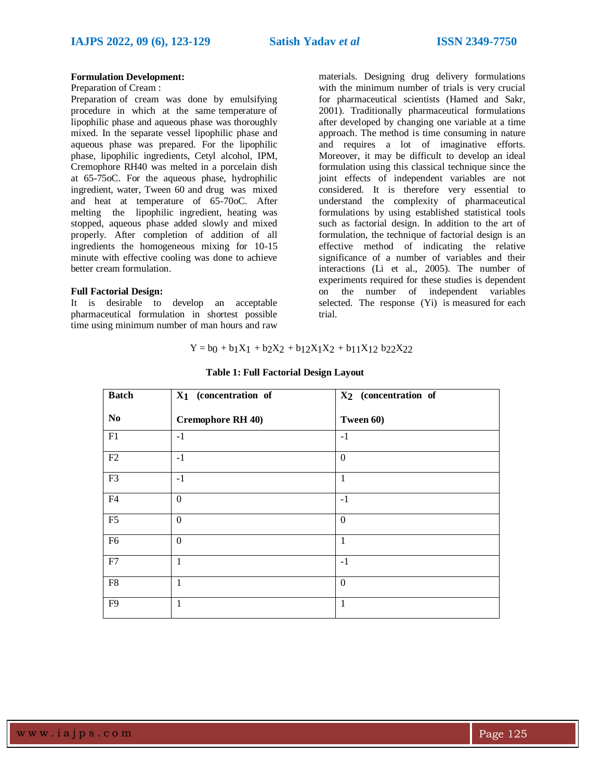## **Formulation Development:**

### Preparation of Cream :

Preparation of cream was done by emulsifying procedure in which at the same temperature of lipophilic phase and aqueous phase was thoroughly mixed. In the separate vessel lipophilic phase and aqueous phase was prepared. For the lipophilic phase, lipophilic ingredients, Cetyl alcohol, IPM, Cremophore RH40 was melted in a porcelain dish at 65-75oC. For the aqueous phase, hydrophilic ingredient, water, Tween 60 and drug was mixed and heat at temperature of 65-70oC. After melting the lipophilic ingredient, heating was stopped, aqueous phase added slowly and mixed properly. After completion of addition of all ingredients the homogeneous mixing for 10-15 minute with effective cooling was done to achieve better cream formulation.

## **Full Factorial Design:**

It is desirable to develop an acceptable pharmaceutical formulation in shortest possible time using minimum number of man hours and raw

materials. Designing drug delivery formulations with the minimum number of trials is very crucial for pharmaceutical scientists (Hamed and Sakr, 2001). Traditionally pharmaceutical formulations after developed by changing one variable at a time approach. The method is time consuming in nature and requires a lot of imaginative efforts. Moreover, it may be difficult to develop an ideal formulation using this classical technique since the joint effects of independent variables are not considered. It is therefore very essential to understand the complexity of pharmaceutical formulations by using established statistical tools such as factorial design. In addition to the art of formulation, the technique of factorial design is an effective method of indicating the relative significance of a number of variables and their interactions (Li et al., 2005). The number of experiments required for these studies is dependent on the number of independent variables selected. The response (Yi) is measured for each trial.

## $Y = b0 + b1X1 + b2X2 + b12X1X2 + b11X12 b22X22$

| <b>Batch</b>   | X <sub>1</sub> (concentration of | X <sub>2</sub> (concentration of |
|----------------|----------------------------------|----------------------------------|
| N <sub>0</sub> | <b>Cremophore RH 40)</b>         | Tween 60)                        |
| F1             | $-1$                             | $-1$                             |
| F2             | $-1$                             | $\mathbf{0}$                     |
| F3             | $-1$                             | $\mathbf{1}$                     |
| F4             | $\boldsymbol{0}$                 | $-1$                             |
| F <sub>5</sub> | $\boldsymbol{0}$                 | $\mathbf{0}$                     |
| F <sub>6</sub> | $\boldsymbol{0}$                 | $\mathbf{1}$                     |
| F7             | 1                                | $-1$                             |
| ${\rm F}8$     | 1                                | $\mathbf{0}$                     |
| F <sub>9</sub> | $\mathbf{1}$                     | 1                                |

#### **Table 1: Full Factorial Design Layout**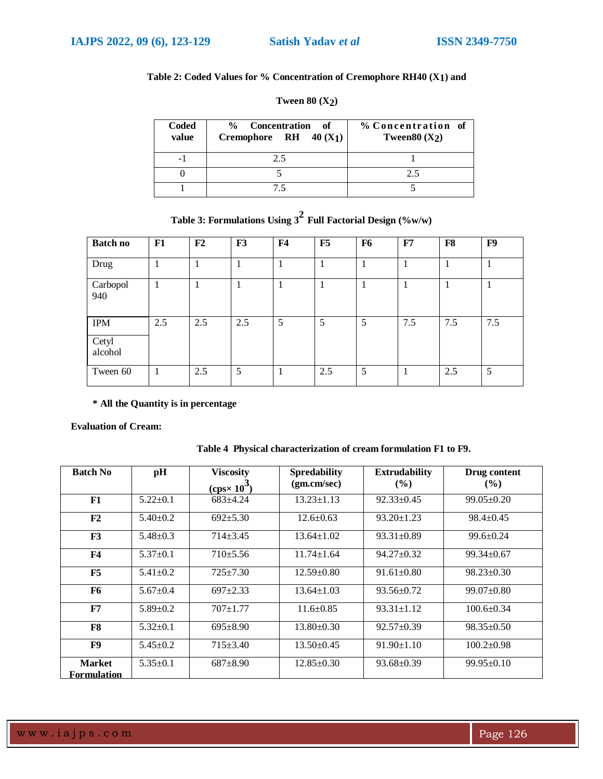# **Table 2: Coded Values for % Concentration of Cremophore RH40 (X1) and**

| Coded<br>value | % Concentration<br>- of<br>Cremophore RH $40(X_1)$ | % Concentration of<br>Tween $80(X_2)$ |
|----------------|----------------------------------------------------|---------------------------------------|
| - 1            | 2.5                                                |                                       |
|                |                                                    | າ 5                                   |
|                | 75.                                                |                                       |

# **Tween 80 (X2)**

|  | Table 3: Formulations Using $3^2$ Full Factorial Design (%w/w) |  |
|--|----------------------------------------------------------------|--|
|--|----------------------------------------------------------------|--|

| <b>Batch no</b>                | F1  | F2  | F3          | F <sub>4</sub> | F5  | F <sub>6</sub> | F7  | F8  | F9  |
|--------------------------------|-----|-----|-------------|----------------|-----|----------------|-----|-----|-----|
| Drug                           |     |     |             |                |     |                |     |     |     |
| Carbopol<br>940                | 1   |     | $\mathbf 1$ | T              | -1  | 1              |     | 1   |     |
| <b>IPM</b><br>Cetyl<br>alcohol | 2.5 | 2.5 | 2.5         | 5              | 5   | 5              | 7.5 | 7.5 | 7.5 |
| Tween 60                       | 1   | 2.5 | 5           | 1              | 2.5 | 5              |     | 2.5 | 5   |

RH40 alcohol **\* All the Quantity is in percentage**

**Evaluation of Cream:**

| <b>Batch No</b>                     | pH             | <b>Viscosity</b>    | <b>Spredability</b> | <b>Extrudability</b> | Drug content     |
|-------------------------------------|----------------|---------------------|---------------------|----------------------|------------------|
|                                     |                | $(cps \times 10^3)$ | (gm.cm/sec)         | $($ %)               | $(\%)$           |
| F1                                  | $5.22+0.1$     | $683 \pm 4.24$      | $13.23 \pm 1.13$    | $92.33 \pm 0.45$     | $99.05 \pm 0.20$ |
| F <sub>2</sub>                      | $5.40 \pm 0.2$ | $692 \pm 5.30$      | $12.6 \pm 0.63$     | $93.20 \pm 1.23$     | $98.4 \pm 0.45$  |
| F3                                  | $5.48 + 0.3$   | $714 + 3.45$        | $13.64 \pm 1.02$    | $93.31 \pm 0.89$     | $99.6 \pm 0.24$  |
| F <sub>4</sub>                      | $5.37 \pm 0.1$ | $710+5.56$          | $11.74 \pm 1.64$    | $94.27 \pm 0.32$     | $99.34 \pm 0.67$ |
| F5                                  | $5.41 \pm 0.2$ | $725 \pm 7.30$      | $12.59 \pm 0.80$    | $91.61 \pm 0.80$     | $98.23 \pm 0.30$ |
| F <sub>6</sub>                      | $5.67+0.4$     | $697+2.33$          | $13.64 \pm 1.03$    | $93.56 \pm 0.72$     | $99.07 \pm 0.80$ |
| F7                                  | $5.89 \pm 0.2$ | $707+1.77$          | $11.6 \pm 0.85$     | $93.31 \pm 1.12$     | $100.6 \pm 0.34$ |
| F8                                  | $5.32+0.1$     | $695+8.90$          | $13.80 \pm 0.30$    | $92.57 \pm 0.39$     | $98.35 \pm 0.50$ |
| F9                                  | $5.45+0.2$     | $715 \pm 3.40$      | $13.50+0.45$        | $91.90 \pm 1.10$     | $100.2 \pm 0.98$ |
| <b>Market</b><br><b>Formulation</b> | $5.35 \pm 0.1$ | $687+8.90$          | $12.85 \pm 0.30$    | $93.68 \pm 0.39$     | $99.95 \pm 0.10$ |

# **Table 4 Physical characterization of cream formulation F1 to F9.**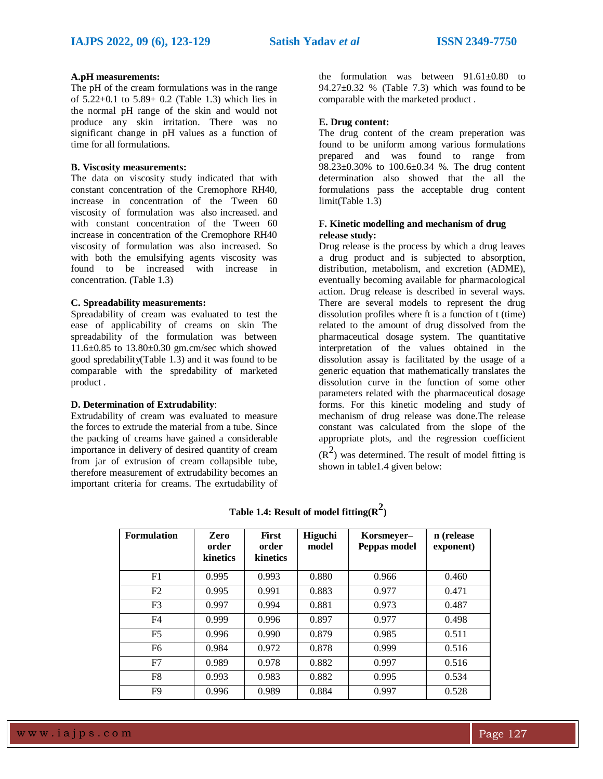## **A.pH measurements:**

The pH of the cream formulations was in the range of 5.22+0.1 to 5.89+ 0.2 (Table 1.3) which lies in the normal pH range of the skin and would not produce any skin irritation. There was no significant change in pH values as a function of time for all formulations.

## **B. Viscosity measurements:**

The data on viscosity study indicated that with constant concentration of the Cremophore RH40, increase in concentration of the Tween 60 viscosity of formulation was also increased. and with constant concentration of the Tween 60 increase in concentration of the Cremophore RH40 viscosity of formulation was also increased. So with both the emulsifying agents viscosity was found to be increased with increase in concentration. (Table 1.3)

## **C. Spreadability measurements:**

Spreadability of cream was evaluated to test the ease of applicability of creams on skin The spreadability of the formulation was between 11.6±0.85 to 13.80±0.30 gm.cm/sec which showed good spredability(Table 1.3) and it was found to be comparable with the spredability of marketed product .

## **D. Determination of Extrudability**:

Extrudability of cream was evaluated to measure the forces to extrude the material from a tube. Since the packing of creams have gained a considerable importance in delivery of desired quantity of cream from jar of extrusion of cream collapsible tube, therefore measurement of extrudability becomes an important criteria for creams. The exrtudability of

the formulation was between  $91.61 \pm 0.80$  to 94.27 $\pm$ 0.32 % (Table 7.3) which was found to be comparable with the marketed product .

## **E. Drug content:**

The drug content of the cream preperation was found to be uniform among various formulations prepared and was found to range from 98.23±0.30% to 100.6±0.34 %. The drug content determination also showed that the all the formulations pass the acceptable drug content limit(Table 1.3)

## **F. Kinetic modelling and mechanism of drug release study:**

Drug release is the process by which a drug leaves a drug product and is subjected to absorption, distribution, metabolism, and excretion (ADME), eventually becoming available for pharmacological action. Drug release is described in several ways. There are several models to represent the drug dissolution profiles where ft is a function of t (time) related to the amount of drug dissolved from the pharmaceutical dosage system. The quantitative interpretation of the values obtained in the dissolution assay is facilitated by the usage of a generic equation that mathematically translates the dissolution curve in the function of some other parameters related with the pharmaceutical dosage forms. For this kinetic modeling and study of mechanism of drug release was done.The release constant was calculated from the slope of the appropriate plots, and the regression coefficient  $(R<sup>2</sup>)$  was determined. The result of model fitting is

shown in table1.4 given below:

| <b>Formulation</b> | Zero<br>order<br>kinetics | <b>First</b><br>order<br>kinetics | <b>Higuchi</b><br>model | Korsmeyer-<br>Peppas model | n (release<br>exponent) |
|--------------------|---------------------------|-----------------------------------|-------------------------|----------------------------|-------------------------|
| F <sub>1</sub>     | 0.995                     | 0.993                             | 0.880                   | 0.966                      | 0.460                   |
| F2                 | 0.995                     | 0.991                             | 0.883                   | 0.977                      | 0.471                   |
| F <sub>3</sub>     | 0.997                     | 0.994                             | 0.881                   | 0.973                      | 0.487                   |
| F4                 | 0.999                     | 0.996                             | 0.897                   | 0.977                      | 0.498                   |
| F <sub>5</sub>     | 0.996                     | 0.990                             | 0.879                   | 0.985                      | 0.511                   |
| F <sub>6</sub>     | 0.984                     | 0.972                             | 0.878                   | 0.999                      | 0.516                   |
| F7                 | 0.989                     | 0.978                             | 0.882                   | 0.997                      | 0.516                   |
| F8                 | 0.993                     | 0.983                             | 0.882                   | 0.995                      | 0.534                   |
| F <sub>9</sub>     | 0.996                     | 0.989                             | 0.884                   | 0.997                      | 0.528                   |

**Table 1.4: Result of model fitting(R 2 )**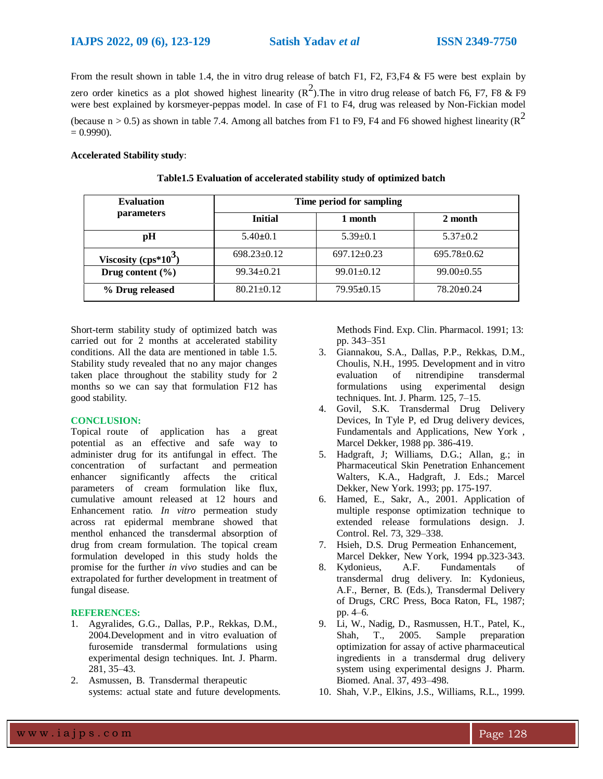From the result shown in table 1.4, the in vitro drug release of batch F1, F2, F3,F4 & F5 were best explain by zero order kinetics as a plot showed highest linearity ( $\mathbb{R}^2$ ). The in vitro drug release of batch F6, F7, F8 & F9 were best explained by korsmeyer-peppas model. In case of F1 to F4, drug was released by Non-Fickian model (because n > 0.5) as shown in table 7.4. Among all batches from F1 to F9, F4 and F6 showed highest linearity ( $\mathbb{R}^2$  $= 0.9990$ ).

### **Accelerated Stability study**:

| <b>Evaluation</b>      | Time period for sampling |                   |                   |  |  |  |
|------------------------|--------------------------|-------------------|-------------------|--|--|--|
| <i>parameters</i>      | <b>Initial</b>           | 1 month           | 2 month           |  |  |  |
| pH                     | $5.40 \pm 0.1$           | $5.39+0.1$        | $5.37 \pm 0.2$    |  |  |  |
| Viscosity $(cps*10^3)$ | $698.23 \pm 0.12$        | $697.12 \pm 0.23$ | $695.78 \pm 0.62$ |  |  |  |
| Drug content $(\% )$   | $99.34 \pm 0.21$         | $99.01 \pm 0.12$  | $99.00 \pm 0.55$  |  |  |  |
| % Drug released        | $80.21 \pm 0.12$         | $79.95 \pm 0.15$  | $78.20 \pm 0.24$  |  |  |  |

| Table1.5 Evaluation of accelerated stability study of optimized batch |  |  |  |
|-----------------------------------------------------------------------|--|--|--|
|                                                                       |  |  |  |

Short-term stability study of optimized batch was carried out for 2 months at accelerated stability conditions. All the data are mentioned in table 1.5. Stability study revealed that no any major changes taken place throughout the stability study for 2 months so we can say that formulation F12 has good stability.

### **CONCLUSION:**

Topical route of application has a great potential as an effective and safe way to administer drug for its antifungal in effect. The concentration of surfactant and permeation enhancer significantly affects the critical parameters of cream formulation like flux, cumulative amount released at 12 hours and Enhancement ratio*. In vitro* permeation study across rat epidermal membrane showed that menthol enhanced the transdermal absorption of drug from cream formulation. The topical cream formulation developed in this study holds the promise for the further *in vivo* studies and can be extrapolated for further development in treatment of fungal disease.

#### **REFERENCES:**

- 1. Agyralides, G.G., Dallas, P.P., Rekkas, D.M., 2004.Development and in vitro evaluation of furosemide transdermal formulations using experimental design techniques. Int. J. Pharm. 281, 35–43.
- 2. Asmussen, B. Transdermal therapeutic systems: actual state and future developments.

Methods Find. Exp. Clin. Pharmacol. 1991; 13: pp. 343–351

- 3. Giannakou, S.A., Dallas, P.P., Rekkas, D.M., Choulis, N.H., 1995. Development and in vitro evaluation of nitrendipine transdermal formulations using experimental design techniques. Int. J. Pharm. 125, 7–15.
- 4. Govil, S.K. Transdermal Drug Delivery Devices, In Tyle P, ed Drug delivery devices, Fundamentals and Applications, New York , Marcel Dekker, 1988 pp. 386-419.
- 5. Hadgraft, J; Williams, D.G.; Allan, g.; in Pharmaceutical Skin Penetration Enhancement Walters, K.A., Hadgraft, J. Eds.; Marcel Dekker, New York. 1993; pp. 175-197.
- 6. Hamed, E., Sakr, A., 2001. Application of multiple response optimization technique to extended release formulations design. J. Control. Rel. 73, 329–338.
- 7. Hsieh, D.S. Drug Permeation Enhancement, Marcel Dekker, New York, 1994 pp.323-343.
- 8. Kydonieus, A.F. Fundamentals of transdermal drug delivery. In: Kydonieus, A.F., Berner, B. (Eds.), Transdermal Delivery of Drugs, CRC Press, Boca Raton, FL, 1987; pp. 4–6.
- 9. Li, W., Nadig, D., Rasmussen, H.T., Patel, K., Shah, T., 2005. Sample preparation optimization for assay of active pharmaceutical ingredients in a transdermal drug delivery system using experimental designs J. Pharm. Biomed. Anal. 37, 493–498.
- 10. Shah, V.P., Elkins, J.S., Williams, R.L., 1999.